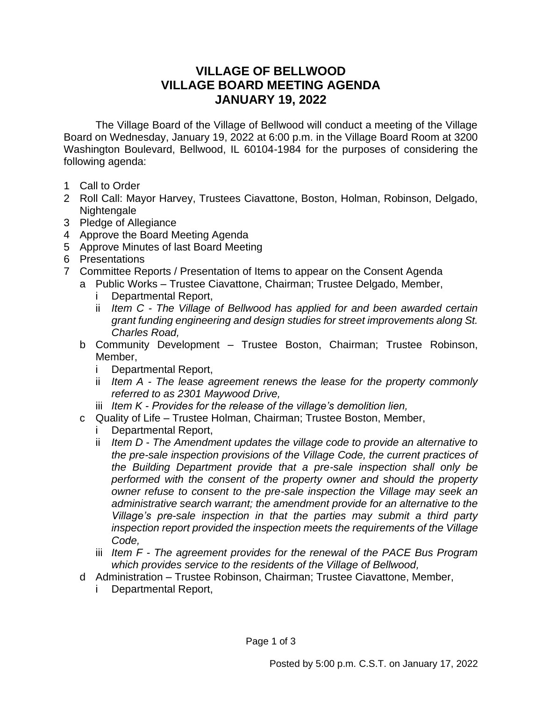## **VILLAGE OF BELLWOOD VILLAGE BOARD MEETING AGENDA JANUARY 19, 2022**

The Village Board of the Village of Bellwood will conduct a meeting of the Village Board on Wednesday, January 19, 2022 at 6:00 p.m. in the Village Board Room at 3200 Washington Boulevard, Bellwood, IL 60104-1984 for the purposes of considering the following agenda:

- 1 Call to Order
- 2 Roll Call: Mayor Harvey, Trustees Ciavattone, Boston, Holman, Robinson, Delgado, Nightengale
- 3 Pledge of Allegiance
- 4 Approve the Board Meeting Agenda
- 5 Approve Minutes of last Board Meeting
- 6 Presentations
- 7 Committee Reports / Presentation of Items to appear on the Consent Agenda
	- a Public Works Trustee Ciavattone, Chairman; Trustee Delgado, Member,
		- i Departmental Report,
		- ii *Item C - The Village of Bellwood has applied for and been awarded certain grant funding engineering and design studies for street improvements along St. Charles Road,*
		- b Community Development Trustee Boston, Chairman; Trustee Robinson, Member,
			- i Departmental Report,
			- ii *Item A - The lease agreement renews the lease for the property commonly referred to as 2301 Maywood Drive,*
		- iii *Item K - Provides for the release of the village's demolition lien,*
		- c Quality of Life Trustee Holman, Chairman; Trustee Boston, Member,
			- i Departmental Report,
			- ii *Item D The Amendment updates the village code to provide an alternative to the pre-sale inspection provisions of the Village Code, the current practices of the Building Department provide that a pre-sale inspection shall only be performed with the consent of the property owner and should the property owner refuse to consent to the pre-sale inspection the Village may seek an administrative search warrant; the amendment provide for an alternative to the Village's pre-sale inspection in that the parties may submit a third party inspection report provided the inspection meets the requirements of the Village Code,*
			- iii *Item F - The agreement provides for the renewal of the PACE Bus Program which provides service to the residents of the Village of Bellwood,*
		- d Administration Trustee Robinson, Chairman; Trustee Ciavattone, Member,
			- i Departmental Report,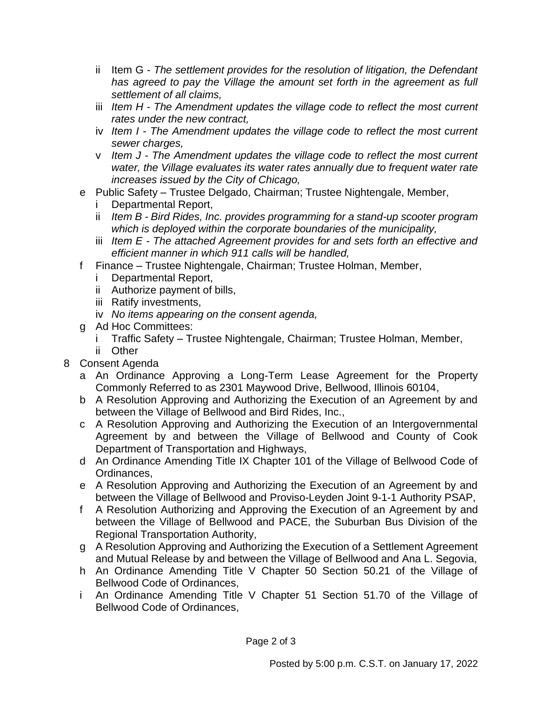- ii Item G *The settlement provides for the resolution of litigation, the Defendant has agreed to pay the Village the amount set forth in the agreement as full settlement of all claims,*
- iii *Item H - The Amendment updates the village code to reflect the most current rates under the new contract,*
- iv *Item I - The Amendment updates the village code to reflect the most current sewer charges,*
- v *Item J - The Amendment updates the village code to reflect the most current water, the Village evaluates its water rates annually due to frequent water rate increases issued by the City of Chicago,*
- e Public Safety Trustee Delgado, Chairman; Trustee Nightengale, Member,
	- i Departmental Report,
	- ii *Item B - Bird Rides, Inc. provides programming for a stand-up scooter program which is deployed within the corporate boundaries of the municipality,*
	- iii *Item E - The attached Agreement provides for and sets forth an effective and efficient manner in which 911 calls will be handled,*
- f Finance Trustee Nightengale, Chairman; Trustee Holman, Member,
	- i Departmental Report,
	- ii Authorize payment of bills,
	- iii Ratify investments,
	- iv *No items appearing on the consent agenda,*
- g Ad Hoc Committees:
	- i Traffic Safety Trustee Nightengale, Chairman; Trustee Holman, Member,
	- ii Other
- 8 Consent Agenda
	- a An Ordinance Approving a Long-Term Lease Agreement for the Property Commonly Referred to as 2301 Maywood Drive, Bellwood, Illinois 60104,
	- b A Resolution Approving and Authorizing the Execution of an Agreement by and between the Village of Bellwood and Bird Rides, Inc.,
	- c A Resolution Approving and Authorizing the Execution of an Intergovernmental Agreement by and between the Village of Bellwood and County of Cook Department of Transportation and Highways,
	- d An Ordinance Amending Title IX Chapter 101 of the Village of Bellwood Code of Ordinances,
	- e A Resolution Approving and Authorizing the Execution of an Agreement by and between the Village of Bellwood and Proviso-Leyden Joint 9-1-1 Authority PSAP,
	- f A Resolution Authorizing and Approving the Execution of an Agreement by and between the Village of Bellwood and PACE, the Suburban Bus Division of the Regional Transportation Authority,
	- g A Resolution Approving and Authorizing the Execution of a Settlement Agreement and Mutual Release by and between the Village of Bellwood and Ana L. Segovia,
	- h An Ordinance Amending Title V Chapter 50 Section 50.21 of the Village of Bellwood Code of Ordinances,
	- i An Ordinance Amending Title V Chapter 51 Section 51.70 of the Village of Bellwood Code of Ordinances,